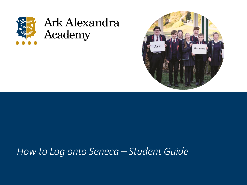

# Ark Alexandra Academy



### *How to Log onto Seneca – Student Guide*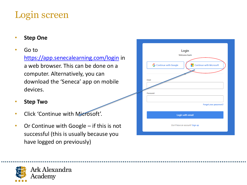## Login screen

- **Step One**
- Go to

<https://app.senecalearning.com/login> in a web browser. This can be done on a computer. Alternatively, you can download the 'Seneca' app on mobile devices.

- **Step Two**
- Click 'Continue with Microsoft'.
- Or Continue with Google if this is not successful (this is usually because you have logged on previously)

|                  | Login<br><b>Welcome back</b>                                    |  |  |  |
|------------------|-----------------------------------------------------------------|--|--|--|
|                  | <b>Continue with Microsoft</b><br><b>G</b> Continue with Google |  |  |  |
|                  | Email                                                           |  |  |  |
|                  | Password                                                        |  |  |  |
|                  | Forgot your password?                                           |  |  |  |
| Login with email |                                                                 |  |  |  |
|                  | Don't have an account? Sign up                                  |  |  |  |

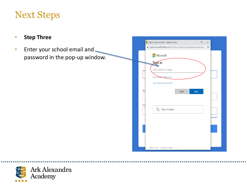### Next Steps

- **Step Three**
- Enter your school email and password in the pop-up window.

|     | Sign in to your account - Google Chrome<br>□                        | $\times$ |         |
|-----|---------------------------------------------------------------------|----------|---------|
|     | login.microsoftonline.com/common/oauth2/v2.0/authorize?respons<br>ੁ | $O_T$    |         |
|     | <b>Nicrosoft</b>                                                    |          |         |
|     | Sign in<br>Email, phone, or Skype                                   |          |         |
|     | No account Create one!                                              |          |         |
|     | Can't access your account?                                          |          |         |
| Emo | Back<br><b>Next</b>                                                 |          |         |
| Pas | Q<br>Sign-in options                                                |          |         |
|     |                                                                     |          | isword? |
|     |                                                                     |          |         |
|     |                                                                     |          |         |
|     | Terms of use<br>Privacy & cookies<br>$\cdots$                       |          |         |

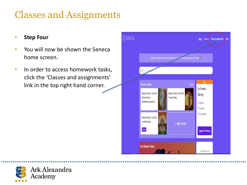## Classes and Assignments

#### • **Step Four**

- You will now be shown the Seneca home screen.
- In order to access homework tasks, click the 'Classes and assignments' link in the top right hand corner.